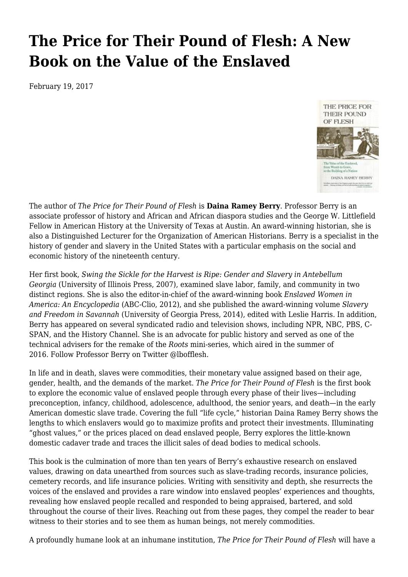## **[The Price for Their Pound of Flesh: A New](https://newpol.org/price-their-pound-flesh-new-book-value-enslaved/) [Book on the Value of the Enslaved](https://newpol.org/price-their-pound-flesh-new-book-value-enslaved/)**

February 19, 2017



The author of *[The Price for Their Pound of Flesh](http://www.beacon.org/The-Price-for-Their-Pound-of-Flesh-P1227.aspx)* is **[Daina Ramey Berry](http://www.drdainarameyberry.com/)**. Professor Berry is an associate professor of history and African and African diaspora studies and the George W. Littlefield Fellow in American History at the University of Texas at Austin. An award-winning historian, she is also a Distinguished Lecturer for the Organization of American Historians. Berry is a specialist in the history of gender and slavery in the United States with a particular emphasis on the social and economic history of the nineteenth century.

Her first book, *[Swing the Sickle for the Harvest is Ripe: Gender and Slavery in Antebellum](http://www.worldcat.org/oclc/77116813) [Georgia](http://www.worldcat.org/oclc/77116813)* (University of Illinois Press, 2007), examined slave labor, family, and community in two distinct regions. She is also the editor-in-chief of the award-winning book *[Enslaved Women in](http://www.worldcat.org/oclc/548555682) [America: An Encyclopedia](http://www.worldcat.org/oclc/548555682)* (ABC-Clio, 2012), and she published the award-winning volume *[Slavery](http://www.worldcat.org/oclc/873805918) [and Freedom in Savannah](http://www.worldcat.org/oclc/873805918)* (University of Georgia Press, 2014), edited with Leslie Harris. In addition, Berry has appeared on several syndicated radio and television shows, including NPR, NBC, PBS, C-SPAN, and the History Channel. She is an advocate for public history and served as one of the technical advisers for the remake of the *[Roots](http://www.drdainarameyberry.com/new/roots/)* mini-series, which aired in the summer of 2016. Follow Professor Berry on Twitter [@lbofflesh](https://twitter.com/lbofflesh).

In life and in death, slaves were commodities, their monetary value assigned based on their age, gender, health, and the demands of the market. *[The Price for Their Pound of Flesh](http://www.beacon.org/The-Price-for-Their-Pound-of-Flesh-P1227.aspx)* is the first book to explore the economic value of enslaved people through every phase of their lives—including preconception, infancy, childhood, adolescence, adulthood, the senior years, and death—in the early American domestic slave trade. Covering the full "life cycle," historian Daina Ramey Berry shows the lengths to which enslavers would go to maximize profits and protect their investments. Illuminating "ghost values," or the prices placed on dead enslaved people, Berry explores the little-known domestic cadaver trade and traces the illicit sales of dead bodies to medical schools.

This book is the culmination of more than ten years of Berry's exhaustive research on enslaved values, drawing on data unearthed from sources such as slave-trading records, insurance policies, cemetery records, and life insurance policies. Writing with sensitivity and depth, she resurrects the voices of the enslaved and provides a rare window into enslaved peoples' experiences and thoughts, revealing how enslaved people recalled and responded to being appraised, bartered, and sold throughout the course of their lives. Reaching out from these pages, they compel the reader to bear witness to their stories and to see them as human beings, not merely commodities.

A profoundly humane look at an inhumane institution, *[The Price for Their Pound of Flesh](http://www.beacon.org/The-Price-for-Their-Pound-of-Flesh-P1227.aspx)* will have a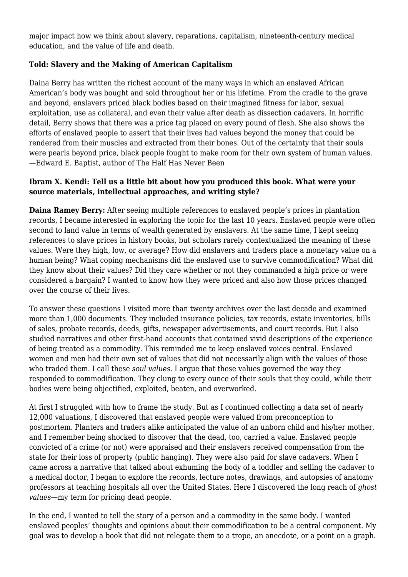major impact how we think about slavery, reparations, capitalism, nineteenth-century medical education, and the value of life and death.

## **Told: Slavery and the Making of American Capitalism**

Daina Berry has written the richest account of the many ways in which an enslaved African American's body was bought and sold throughout her or his lifetime. From the cradle to the grave and beyond, enslavers priced black bodies based on their imagined fitness for labor, sexual exploitation, use as collateral, and even their value after death as dissection cadavers. In horrific detail, Berry shows that there was a price tag placed on every pound of flesh. She also shows the efforts of enslaved people to assert that their lives had values beyond the money that could be rendered from their muscles and extracted from their bones. Out of the certainty that their souls were pearls beyond price, black people fought to make room for their own system of human values. —Edward E. Baptist, author of The Half Has Never Been

## **Ibram X. Kendi: Tell us a little bit about how you produced this book. What were your source materials, intellectual approaches, and writing style?**

**Daina Ramey Berry:** After seeing multiple references to enslaved people's prices in plantation records, I became interested in exploring the topic for the last 10 years. Enslaved people were often second to land value in terms of wealth generated by enslavers. At the same time, I kept seeing references to slave prices in history books, but scholars rarely contextualized the meaning of these values. Were they high, low, or average? How did enslavers and traders place a monetary value on a human being? What coping mechanisms did the enslaved use to survive commodification? What did they know about their values? Did they care whether or not they commanded a high price or were considered a bargain? I wanted to know how they were priced and also how those prices changed over the course of their lives.

To answer these questions I visited more than twenty archives over the last decade and examined more than 1,000 documents. They included insurance policies, tax records, estate inventories, bills of sales, probate records, deeds, gifts, newspaper advertisements, and court records. But I also studied narratives and other first-hand accounts that contained vivid descriptions of the experience of being treated as a commodity. This reminded me to keep enslaved voices central. Enslaved women and men had their own set of values that did not necessarily align with the values of those who traded them. I call these *soul values.* I argue that these values governed the way they responded to commodification. They clung to every ounce of their souls that they could, while their bodies were being objectified, exploited, beaten, and overworked.

At first I struggled with how to frame the study. But as I continued collecting a data set of nearly 12,000 valuations, I discovered that enslaved people were valued from preconception to postmortem. Planters and traders alike anticipated the value of an unborn child and his/her mother, and I remember being shocked to discover that the dead, too, carried a value. Enslaved people convicted of a crime (or not) were appraised and their enslavers received compensation from the state for their loss of property (public hanging). They were also paid for slave cadavers. When I came across a narrative that talked about exhuming the body of a toddler and selling the cadaver to a medical doctor, I began to explore the records, lecture notes, drawings, and autopsies of anatomy professors at teaching hospitals all over the United States. Here I discovered the long reach of *ghost values—*my term for pricing dead people.

In the end, I wanted to tell the story of a person and a commodity in the same body. I wanted enslaved peoples' thoughts and opinions about their commodification to be a central component. My goal was to develop a book that did not relegate them to a trope, an anecdote, or a point on a graph.